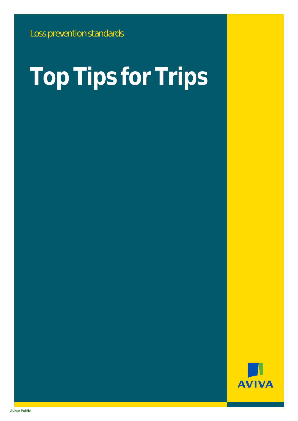# **Top Tips for Trips**

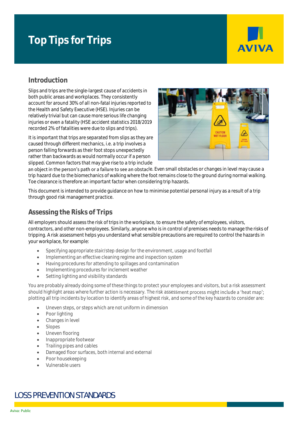# **Top Tips for Trips**



## **Introduction**

Slips and trips are the single-largest cause of accidents in both public areas and workplaces. They consistently account for around 30% of all non-fatal injuries reported to the Health and Safety Executive (HSE). Injuries can be relatively trivial but can cause more serious life changing injuries or even a fatality (HSE accident statistics 2018/2019 recorded 2% of fatalities were due to slips and trips).

It is important that trips are separated from slips as they are caused through different mechanics, i.e. a trip involves a person falling forwards as their foot stops unexpectedly rather than backwards as would normally occur if a person slipped. Common factors that may give rise to a trip include



an object in the person's path or a failure to see an obstacle. Even small obstacles or changes in level may cause a trip hazard due to the biomechanics of walking where the foot remains close to the ground during normal walking. Toe clearance is therefore an important factor when considering trip hazards.

This document is intended to provide guidance on how to minimise potential personal injury as a result of a trip through good risk management practice.

#### **Assessing the Risks of Trips**

All employers should assess the risk of trips in the workplace, to ensure the safety of employees, visitors, contractors, and other non-employees. Similarly, anyone who is in control of premises needs to manage the risks of tripping. A risk assessment helps you understand what sensible precautions are required to control the hazards in your workplace, for example:

- Specifying appropriate stair/step design for the environment, usage and footfall
- Implementing an effective cleaning regime and inspection system
- Having procedures for attending to spillages and contamination
- Implementing procedures for inclement weather
- Setting lighting and visibility standards

You are probably already doing some of these things to protect your employees and visitors, but a risk assessment should highlight areas where further action is necessary. The risk assessment process might include a 'heat map'; plotting all trip incidents by location to identify areas of highest risk, and some of the key hazards to consider are:

- Uneven steps, or steps which are not uniform in dimension
- Poor lighting
- Changes in level
- Slopes
- Uneven flooring
- Inappropriate footwear
- Trailing pipes and cables
- Damaged floor surfaces, both internal and external
- Poor housekeeping
- Vulnerable users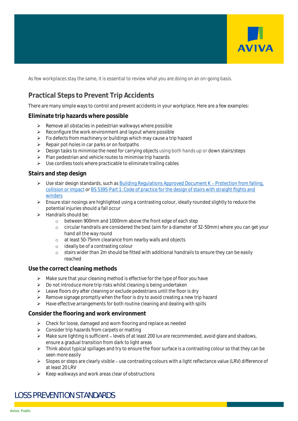

As few workplaces stay the same, it is essential to review what you are doing on an on-going basis.

## **Practical Steps to Prevent Trip Accidents**

There are many simple ways to control and prevent accidents in your workplace. Here are a few examples:

#### **Eliminate trip hazards where possible**

- ➢ Remove all obstacles in pedestrian walkways where possible
- ➢ Reconfigure the work environment and layout where possible
- $\triangleright$  Fix defects from machinery or buildings which may cause a trip hazard
- $\triangleright$  Repair pot-holes in car parks or on footpaths
- ➢ Design tasks to minimise the need for carrying objects using both hands up or down stairs/steps
- ➢ Plan pedestrian and vehicle routes to minimise trip hazards
- ➢ Use cordless tools where practicable to eliminate trailing cables

#### **Stairs and step design**

- $\triangleright$  Use stair design standards, such as Building Regulations Approved Document K Protection from falling, [collision or impact](https://www.gov.uk/government/publications/protection-from-falling-collision-and-impact-approved-document-k) or BS [5395-Part 1: Code of practice for the design of stairs with straight flights and](https://shop.bsigroup.com/ProductDetail?pid=000000000030140175)  [winders](https://shop.bsigroup.com/ProductDetail?pid=000000000030140175)
- ➢ Ensure stair nosings are highlighted using a contrasting colour, ideally rounded slightly to reduce the potential injuries should a fall occur
- $\blacktriangleright$  Handrails should be:
	- o between 900mm and 1000mm above the front edge of each step
	- o circular handrails are considered the best (aim for a diameter of 32-50mm) where you can get your hand all the way round
	- o at least 50-75mm clearance from nearby walls and objects
	- o ideally be of a contrasting colour
	- o stairs wider than 2m should be fitted with additional handrails to ensure they can be easily reached

#### **Use the correct cleaning methods**

- $\triangleright$  Make sure that your cleaning method is effective for the type of floor you have
- ➢ Do not introduce more trip risks whilst cleaning is being undertaken
- ➢ Leave floors dry after cleaning or exclude pedestrians until the floor is dry
- ➢ Remove signage promptly when the floor is dry to avoid creating a new trip hazard
- $\triangleright$  Have effective arrangements for both routine cleaning and dealing with spills

#### **Consider the flooring and work environment**

- ➢ Check for loose, damaged and worn flooring and replace as needed
- ➢ Consider trip hazards from carpets or matting
- ▶ Make sure lighting is sufficient levels of at least 200 lux are recommended, avoid glare and shadows, ensure a gradual transition from dark to light areas
- $\triangleright$  Think about typical spillages and try to ensure the floor surface is a contrasting colour so that they can be seen more easily
- ➢ Slopes or steps are clearly visible use contrasting colours with a light reflectance value (LRV) difference of at least 20 LRV
- $\triangleright$  Keep walkways and work areas clear of obstructions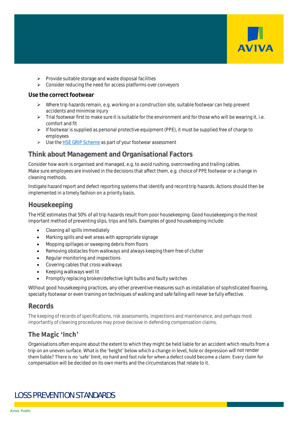

- ➢ Provide suitable storage and waste disposal facilities
- ➢ Consider reducing the need for access platforms over conveyors

#### **Use the correct footwear**

- ➢ Where trip hazards remain, e.g. working on a construction site, suitable footwear can help prevent accidents and minimise injury
- $\triangleright$  Trial footwear first to make sure it is suitable for the environment and for those who will be wearing it, i.e. comfort and fit
- ➢ If footwear is supplied as personal protective equipment (PPE), it must be supplied free of charge to employees
- ➢ Use th[e HSE GRIP Scheme](https://www.hsl.gov.uk/publications-and-products/grip/grip-ratings) as part of your footwear assessment

#### **Think about Management and Organisational Factors**

Consider how work is organised and managed, e.g. to avoid rushing, overcrowding and trailing cables. Make sure employees are involved in the decisions that affect them, e.g. choice of PPE footwear or a change in cleaning methods.

Instigate hazard report and defect reporting systems that identify and record trip hazards. Actions should then be implemented in a timely fashion on a priority basis.

#### **Housekeeping**

The HSE estimates that 50% of all trip hazards result from poor housekeeping. Good housekeeping is the most important method of preventing slips, trips and falls. Examples of good housekeeping include:

- Cleaning all spills immediately
- Marking spills and wet areas with appropriate signage
- Mopping spillages or sweeping debris from floors
- Removing obstacles from walkways and always keeping them free of clutter
- Regular monitoring and inspections
- Covering cables that cross walkways
- Keeping walkways well lit
- Promptly replacing broken/defective light bulbs and faulty switches

Without good housekeeping practices, any other preventive measures such as installation of sophisticated flooring, specialty footwear or even training on techniques of walking and safe falling will never be fully effective.

#### **Records**

The keeping of records of specifications, risk assessments, inspections and maintenance, and perhaps most importantly of cleaning procedures may prove decisive in defending compensation claims.

#### The Magic 'Inch'

Organisations often enquire about the extent to which they might be held liable for an accident which results from a trip on an uneven surface. What is the 'height' below which a change in level, hole or depression will not render them liable? There is no 'safe' limit, no hard and fast rule for when a defect could become a claim. Every claim for compensation will be decided on its own merits and the circumstances that relate to it.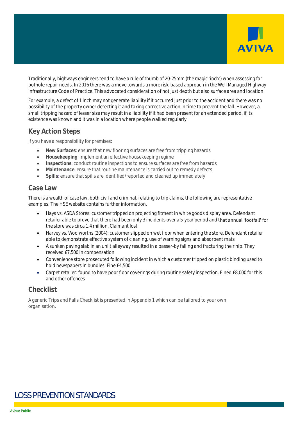

Traditionally, highways engineers tend to have a rule of thumb of 20-25mm (the magic 'inch') when assessing for pothole repair needs. In 2016 there was a move towards a more risk-based approach in the Well Managed Highway Infrastructure Code of Practice. This advocated consideration of not just depth but also surface area and location.

For example, a defect of 1 inch may not generate liability if it occurred just prior to the accident and there was no possibility of the property owner detecting it and taking corrective action in time to prevent the fall. However, a small tripping hazard of lesser size may result in a liability if it had been present for an extended period, if its existence was known and it was in a location where people walked regularly.

### **Key Action Steps**

If you have a responsibility for premises:

- **New Surfaces**: ensure that new flooring surfaces are free from tripping hazards
- **Housekeeping**: implement an effective housekeeping regime
- **Inspections**: conduct routine inspections to ensure surfaces are free from hazards
- **Maintenance**: ensure that routine maintenance is carried out to remedy defects
- **Spills**: ensure that spills are identified/reported and cleaned up immediately

#### **Case Law**

There is a wealth of case law, both civil and criminal, relating to trip claims, the following are representative examples. The HSE website contains further information.

- Hays vs. ASDA Stores: customer tripped on projecting fitment in white goods display area. Defendant retailer able to prove that there had been only 3 incidents over a 5-year period and that annual 'footfall' for the store was circa 1.4 million. Claimant lost
- Harvey vs. Woolworths (2004): customer slipped on wet floor when entering the store. Defendant retailer able to demonstrate effective system of cleaning, use of warning signs and absorbent mats
- A sunken paving slab in an unlit alleyway resulted in a passer-by falling and fracturing their hip. They received £7,500 in compensation
- Convenience store prosecuted following incident in which a customer tripped on plastic binding used to hold newspapers in bundles. Fine £4,500
- Carpet retailer: found to have poor floor coverings during routine safety inspection. Fined £8,000 for this and other offences

#### **Checklist**

A generic Trips and Falls Checklist is presented in Appendix 1 which can be tailored to your own organisation.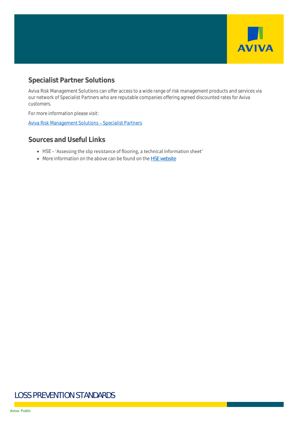

# **Specialist Partner Solutions**

Aviva Risk Management Solutions can offer access to a wide range of risk management products and services via our network of Specialist Partners who are reputable companies offering agreed discounted rates for Aviva customers.

For more information please visit:

Aviva Risk Management Solutions - Specialist Partners

#### **Sources and Useful Links**

- HSE 'Assessing the slip resistance of flooring, a technical information sheet'
- More information on the above can be found on the [HSE website](http://www.hse.gov.uk/slips/)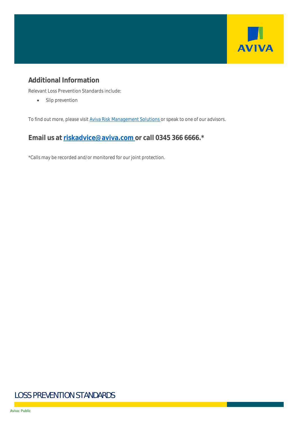

# **Additional Information**

Relevant Loss Prevention Standards include:

• Slip prevention

To find out more, please visit [Aviva Risk Management Solutions](https://www.aviva.co.uk/risksolutions/) or speak to one of our advisors.

**Email us at [riskadvice@aviva.com](mailto:riskadvice@aviva.com) or call 0345 366 6666.\***

\*Calls may be recorded and/or monitored for our joint protection.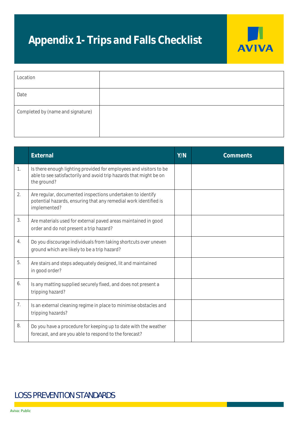# **Appendix 1- Trips and Falls Checklist**



| Location                          |  |
|-----------------------------------|--|
| Date                              |  |
| Completed by (name and signature) |  |

|    | External                                                                                                                                                | Y/N | Comments |
|----|---------------------------------------------------------------------------------------------------------------------------------------------------------|-----|----------|
| 1. | Is there enough lighting provided for employees and visitors to be<br>able to see satisfactorily and avoid trip hazards that might be on<br>the ground? |     |          |
| 2. | Are regular, documented inspections undertaken to identify<br>potential hazards, ensuring that any remedial work identified is<br>implemented?          |     |          |
| 3. | Are materials used for external paved areas maintained in good<br>order and do not present a trip hazard?                                               |     |          |
| 4. | Do you discourage individuals from taking shortcuts over uneven<br>ground which are likely to be a trip hazard?                                         |     |          |
| 5. | Are stairs and steps adequately designed, lit and maintained<br>in good order?                                                                          |     |          |
| 6. | Is any matting supplied securely fixed, and does not present a<br>tripping hazard?                                                                      |     |          |
| 7. | Is an external cleaning regime in place to minimise obstacles and<br>tripping hazards?                                                                  |     |          |
| 8. | Do you have a procedure for keeping up to date with the weather<br>forecast, and are you able to respond to the forecast?                               |     |          |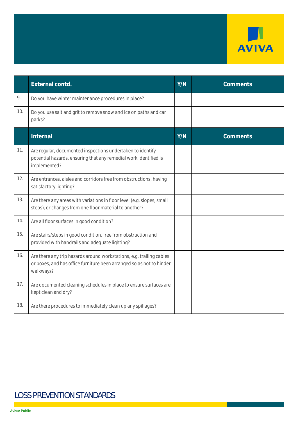

|     | External contd.                                                                                                                                           | Y/N | Comments |
|-----|-----------------------------------------------------------------------------------------------------------------------------------------------------------|-----|----------|
| 9.  | Do you have winter maintenance procedures in place?                                                                                                       |     |          |
| 10. | Do you use salt and grit to remove snow and ice on paths and car<br>parks?                                                                                |     |          |
|     | Internal                                                                                                                                                  | Y/N | Comments |
| 11. | Are regular, documented inspections undertaken to identify<br>potential hazards, ensuring that any remedial work identified is<br>implemented?            |     |          |
| 12. | Are entrances, aisles and corridors free from obstructions, having<br>satisfactory lighting?                                                              |     |          |
| 13. | Are there any areas with variations in floor level (e.g. slopes, small<br>steps), or changes from one floor material to another?                          |     |          |
| 14. | Are all floor surfaces in good condition?                                                                                                                 |     |          |
| 15. | Are stairs/steps in good condition, free from obstruction and<br>provided with handrails and adequate lighting?                                           |     |          |
| 16. | Are there any trip hazards around workstations, e.g. trailing cables<br>or boxes, and has office furniture been arranged so as not to hinder<br>walkways? |     |          |
| 17. | Are documented cleaning schedules in place to ensure surfaces are<br>kept clean and dry?                                                                  |     |          |
| 18. | Are there procedures to immediately clean up any spillages?                                                                                               |     |          |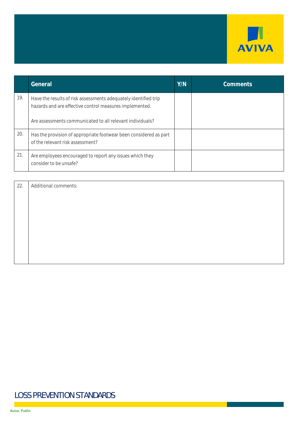

|     | General                                                                                                                    | Y/N | Comments |
|-----|----------------------------------------------------------------------------------------------------------------------------|-----|----------|
| 19. | Have the results of risk assessments adequately identified trip<br>hazards and are effective control measures implemented. |     |          |
|     | Are assessments communicated to all relevant individuals?                                                                  |     |          |
| 20. | Has the provision of appropriate footwear been considered as part<br>of the relevant risk assessment?                      |     |          |
| 21. | Are employees encouraged to report any issues which they<br>consider to be unsafe?                                         |     |          |

| 22. | Additional comments: |
|-----|----------------------|
|     |                      |
|     |                      |
|     |                      |
|     |                      |
|     |                      |
|     |                      |
|     |                      |
|     |                      |